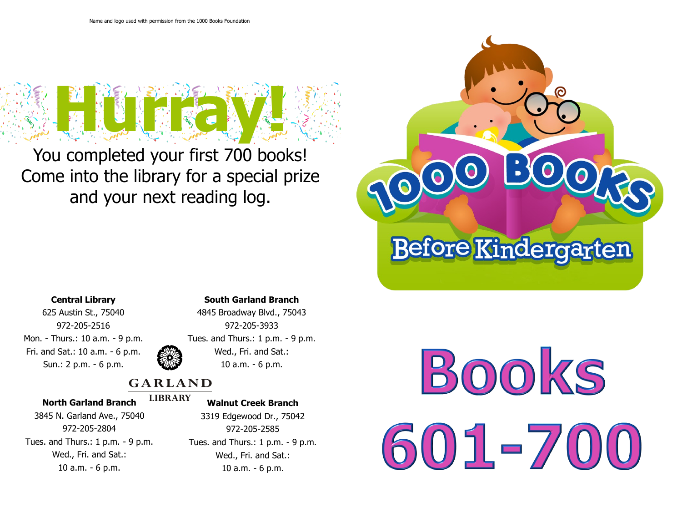

You completed your first 700 books! Come into the library for a special prize and your next reading log.



## **Central Library**

625 Austin St., 75040 972-205-2516 Mon. - Thurs.: 10 a.m. - 9 p.m. Fri. and Sat.: 10 a.m. - 6 p.m. Sun.: 2 p.m. - 6 p.m.

## **South Garland Branch**



4845 Broadway Blvd., 75043 972-205-3933 Tues. and Thurs.: 1 p.m. - 9 p.m. Wed., Fri. and Sat.: 10 a.m. - 6 p.m.

# **GARLAND**

## **North Garland Branch**

#### **LIBRARY Walnut Creek Branch**

3845 N. Garland Ave., 75040 972-205-2804 Tues. and Thurs.: 1 p.m. - 9 p.m. Wed., Fri. and Sat.: 10 a.m. - 6 p.m.

3319 Edgewood Dr., 75042 972-205-2585 Tues. and Thurs.: 1 p.m. - 9 p.m. Wed., Fri. and Sat.: 10 a.m. - 6 p.m.

BOOKS  $01 - 7$